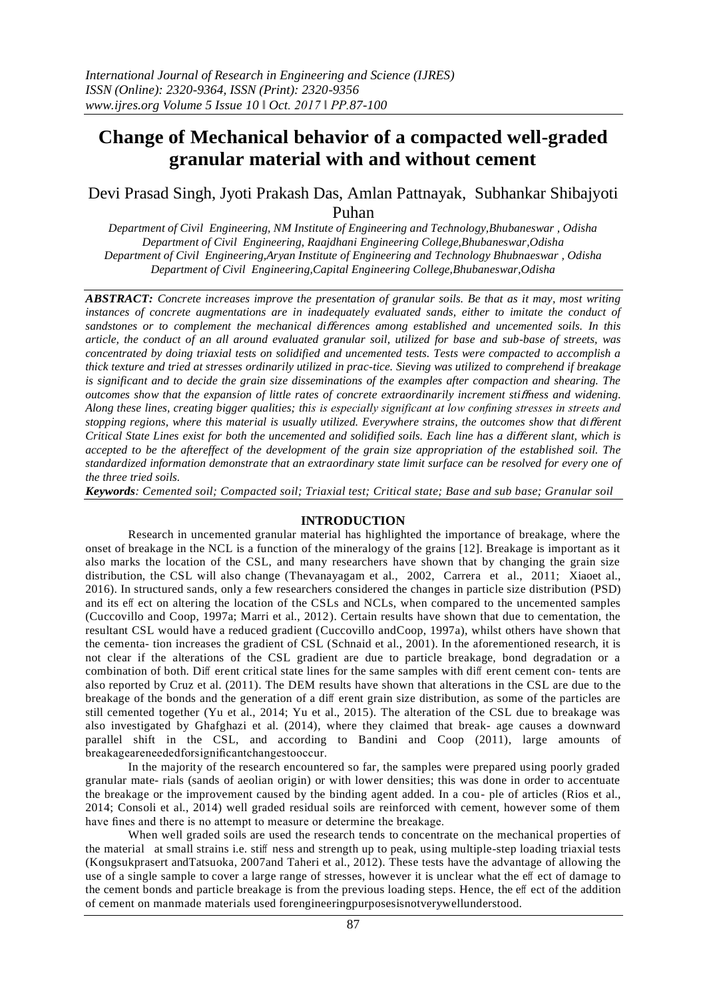# **Change of Mechanical behavior of a compacted well-graded granular material with and without cement**

Devi Prasad Singh, Jyoti Prakash Das, Amlan Pattnayak, Subhankar Shibajyoti Puhan

*Department of Civil Engineering, NM Institute of Engineering and Technology,Bhubaneswar , Odisha Department of Civil Engineering, Raajdhani Engineering College,Bhubaneswar,Odisha Department of Civil Engineering,Aryan Institute of Engineering and Technology Bhubnaeswar , Odisha Department of Civil Engineering,Capital Engineering College,Bhubaneswar,Odisha*

*ABSTRACT: Concrete increases improve the presentation of granular soils. Be that as it may, most writing instances of concrete augmentations are in inadequately evaluated sands, either to imitate the conduct of sandstones or to complement the mechanical di*ff*erences among established and uncemented soils. In this article, the conduct of an all around evaluated granular soil, utilized for base and sub-base of streets, was concentrated by doing triaxial tests on solidified and uncemented tests. Tests were compacted to accomplish a thick texture and tried at stresses ordinarily utilized in prac-tice. Sieving was utilized to comprehend if breakage is significant and to decide the grain size disseminations of the examples after compaction and shearing. The outcomes show that the expansion of little rates of concrete extraordinarily increment sti*ff*ness and widening. Along these lines, creating bigger qualities; this is especially significant at low confining stresses in streets and stopping regions, where this material is usually utilized. Everywhere strains, the outcomes show that di*ff*erent Critical State Lines exist for both the uncemented and solidified soils. Each line has a di*ff*erent slant, which is accepted to be the aftereffect of the development of the grain size appropriation of the established soil. The standardized information demonstrate that an extraordinary state limit surface can be resolved for every one of the three tried soils.*

*Keywords: Cemented soil; Compacted soil; Triaxial test; Critical state; Base and sub base; Granular soil*

## **INTRODUCTION**

Research in uncemented granular material has highlighted the importance of breakage, where the onset of breakage in the NCL is a function of the mineralogy of the grains [12]. Breakage is important as it also marks the location of the CSL, and many researchers have shown that by changing the grain size distribution, the CSL will also change [\(Thevanayagam et al., 2002, Carrera et al., 2011; Xiaoet al.,](#page-12-0)  2016). In structured sands, only a few researchers considered the changes in particle size distribution (PSD) and its eff ect on altering the location of the CSLs and NCLs, when compared to the uncemented samples [\(Cuccovillo and Coop, 1997a; Marri et al., 2012\)](#page-11-0). Certain results have shown that due to cementation, the resultant CSL would have a reduced gradient [\(Cuccovillo andCoop, 1997a\)](#page-11-0), whilst others have shown that the cementa- tion increases the gradient of CSL [\(Schnaid et al., 2001\)](#page-12-1). In the aforementioned research, it is not clear if the alterations of the CSL gradient are due to particle breakage, bond degradation or a combination of both. Diff erent critical state lines for the same samples with diff erent cement con- tents are also reported by [Cruz et al. \(2011\).](#page-11-0) The DEM results have shown that alterations in the CSL are due to the breakage of the bonds and the generation of a diff erent grain size distribution, as some of the particles are still cemented together [\(Yu et al., 2014; Yu et al., 2015\)](#page-12-0). The alteration of the CSL due to breakage was also investigated by [Ghafghazi et al. \(2014\),](#page-11-1) where they claimed that break- age causes a downward parallel shift in the CSL, and according to [Bandini and Coop \(2011\),](#page-11-0) large amounts of breakageareneededforsignificantchangestooccur.

In the majority of the research encountered so far, the samples were prepared using poorly graded granular mate- rials (sands of aeolian origin) or with lower densities; this was done in order to accentuate the breakage or the improvement caused by the binding agent added. In a cou- ple of articles [\(Rios et al.,](#page-12-0)  [2014; Consoli et al., 2014\)](#page-12-0) well graded residual soils are reinforced with cement, however some of them have fines and there is no attempt to measure or determine the breakage.

When well graded soils are used the research tends to concentrate on the mechanical properties of the material at small strains i.e. stiff ness and strength up to peak, using multiple-step loading triaxial tests [\(Kongsukprasert andTatsuoka, 2007a](#page-12-0)nd [Taheri et al., 2012\)](#page-12-0). These tests have the advantage of allowing the use of a single sample to cover a large range of stresses, however it is unclear what the eff ect of damage to the cement bonds and particle breakage is from the previous loading steps. Hence, the eff ect of the addition of cement on manmade materials used forengineeringpurposesisnotverywellunderstood.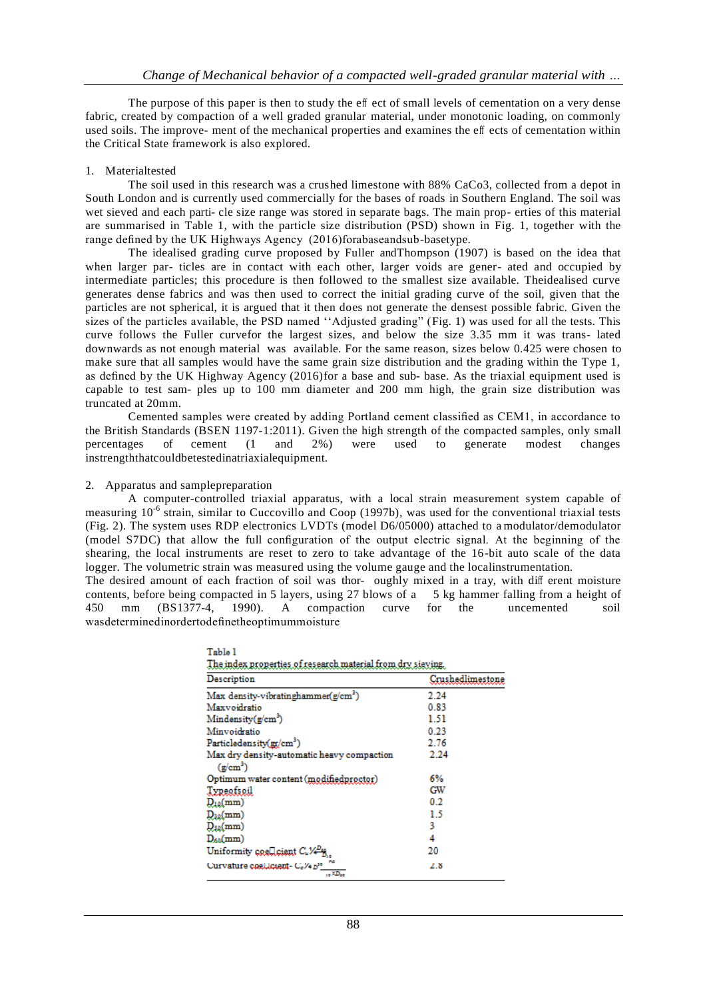The purpose of this paper is then to study the eff ect of small levels of cementation on a very dense fabric, created by compaction of a well graded granular material, under monotonic loading, on commonly used soils. The improve- ment of the mechanical properties and examines the eff ects of cementation within the Critical State framework is also explored.

# 1. Materialtested

The soil used in this research was a crushed limestone with 88% CaCo3, collected from a depot in South London and is currently used commercially for the bases of roads in Southern England. The soil was wet sieved and each parti- cle size range was stored in separate bags. The main prop- erties of this material are summarised in Table 1, with the particle size distribution (PSD) shown in Fig. 1, together with the range defined by the UK Highways Agency (2016)forabaseandsub-basetype.

The idealised grading curve proposed by [Fuller andThompson \(1907\) i](#page-11-2)s based on the idea that when larger par- ticles are in contact with each other, larger voids are gener- ated and occupied by intermediate particles; this procedure is then followed to the smallest size available. Theidealised curve generates dense fabrics and was then used to correct the initial grading curve of the soil, given that the particles are not spherical, it is argued that it then does not generate the densest possible fabric. Given the sizes of the particles available, the PSD named "Adjusted grading" (Fig. 1) was used for all the tests. This curve follows the Fuller curvefor the largest sizes, and below the size 3.35 mm it was trans- lated downwards as not enough material was available. For the same reason, sizes below 0.425 were chosen to make sure that all samples would have the same grain size distribution and the grading within the Type 1, as defined by the [UK Highway Agency \(2016\)f](#page-12-0)or a base and sub- base. As the triaxial equipment used is capable to test sam- ples up to 100 mm diameter and 200 mm high, the grain size distribution was truncated at 20mm.

Cemented samples were created by adding Portland cement classified as CEM1, in accordance to the British Standards [\(BSEN 1197-1:2011\)](#page-11-0). Given the high strength of the compacted samples, only small percentages of cement (1 and 2%) were used to generate modest changes instrengththatcouldbetestedinatriaxialequipment.

# 2. Apparatus and samplepreparation

- . . .

A computer-controlled triaxial apparatus, with a local strain measurement system capable of measuring 10<sup>-6</sup> strain, similar to [Cuccovillo and Coop \(1997b\),](#page-11-0) was used for the conventional triaxial tests (Fig. 2). The system uses RDP electronics LVDTs (model D6/05000) attached to a modulator/demodulator (model S7DC) that allow the full configuration of the output electric signal. At the beginning of the shearing, the local instruments are reset to zero to take advantage of the 16-bit auto scale of the data logger. The volumetric strain was measured using the volume gauge and the localinstrumentation.

The desired amount of each fraction of soil was thor- oughly mixed in a tray, with diff erent moisture contents, before being compacted in 5 layers, using 27 blows of a 5 kg hammer falling from a height of 450 mm [\(BS1377-4, 1990\)](#page-11-0). A compaction curve for the uncemented soil wasdeterminedinordertodefinetheoptimummoisture

| Description                                                         | Crushedlimestone |
|---------------------------------------------------------------------|------------------|
| Max density-vibratinghammer(g/cm <sup>3</sup> )                     | 2.24             |
| Maxvoidratio                                                        | 0.83             |
| Mindensity(g/cm <sup>3</sup> )                                      | 1.51             |
| Minvoidratio                                                        | 0.23             |
| Particledensity(gr/cm <sup>3</sup> )                                | 2.76             |
| Max dry density-automatic heavy compaction                          | 2.24             |
| $(\text{g/cm}^3)$                                                   |                  |
| Optimum water content (modifiedproctor)                             | 6%               |
| Typeofsoil                                                          | GW               |
| $D_{10}(mm)$                                                        | 0.2              |
| $D_{30}(mm)$                                                        | 1.5              |
| $D_{50}(mm)$                                                        | 3                |
| $D_{60}(mm)$                                                        | 4                |
| Uniformity coellicent C.V. 8                                        | 20               |
| Curvature coal.lctent- Cc/4 p <sup>10</sup><br>$1.5 \times 10^{-4}$ | 2.8              |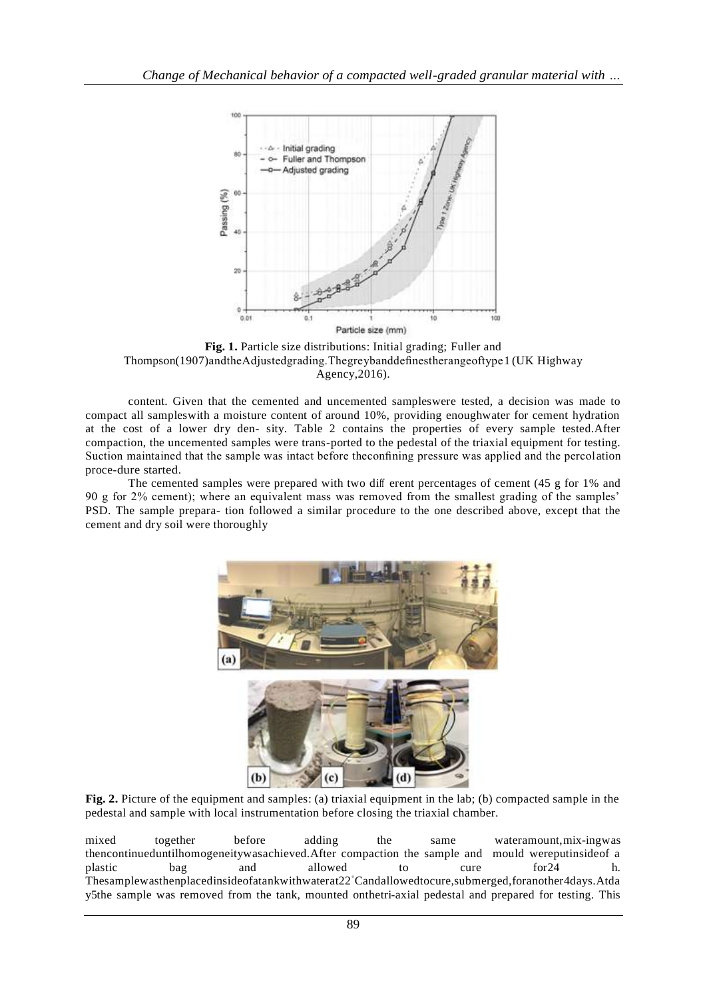

**Fig. 1.** Particle size distributions: Initial grading; [Fuller and](#page-11-2)  [Thompson\(1907\)a](#page-11-2)ndtheAdjustedgrading.Thegreybanddefinestherangeoftype1 [\(UK Highway](#page-12-0)  [Agency,2016\)](#page-12-0).

content. Given that the cemented and uncemented sampleswere tested, a decision was made to compact all sampleswith a moisture content of around 10%, providing enoughwater for cement hydration at the cost of a lower dry den- sity. [Table 2 c](#page-3-0)ontains the properties of every sample tested.After compaction, the uncemented samples were trans-ported to the pedestal of the triaxial equipment for testing. Suction maintained that the sample was intact before theconfining pressure was applied and the percol ation proce-dure started.

The cemented samples were prepared with two diff erent percentages of cement (45 g for 1% and 90 g for 2% cement); where an equivalent mass was removed from the smallest grading of the samples' PSD. The sample prepara- tion followed a similar procedure to the one described above, except that the cement and dry soil were thoroughly



**Fig. 2.** Picture of the equipment and samples: (a) triaxial equipment in the lab; (b) compacted sample in the pedestal and sample with local instrumentation before closing the triaxial chamber.

mixed together before adding the same wateramount,mix-ingwas thencontinueduntilhomogeneitywasachieved.After compaction the sample and mould wereputinside of a plastic bag and allowed to cure for 24 h. plastic bag and allowed to cure for 24 h. Thesamplewasthenplacedinsideofatankwithwaterat22◦Candallowedtocure,submerged,foranother4days.Atda y5the sample was removed from the tank, mounted onthetri-axial pedestal and prepared for testing. This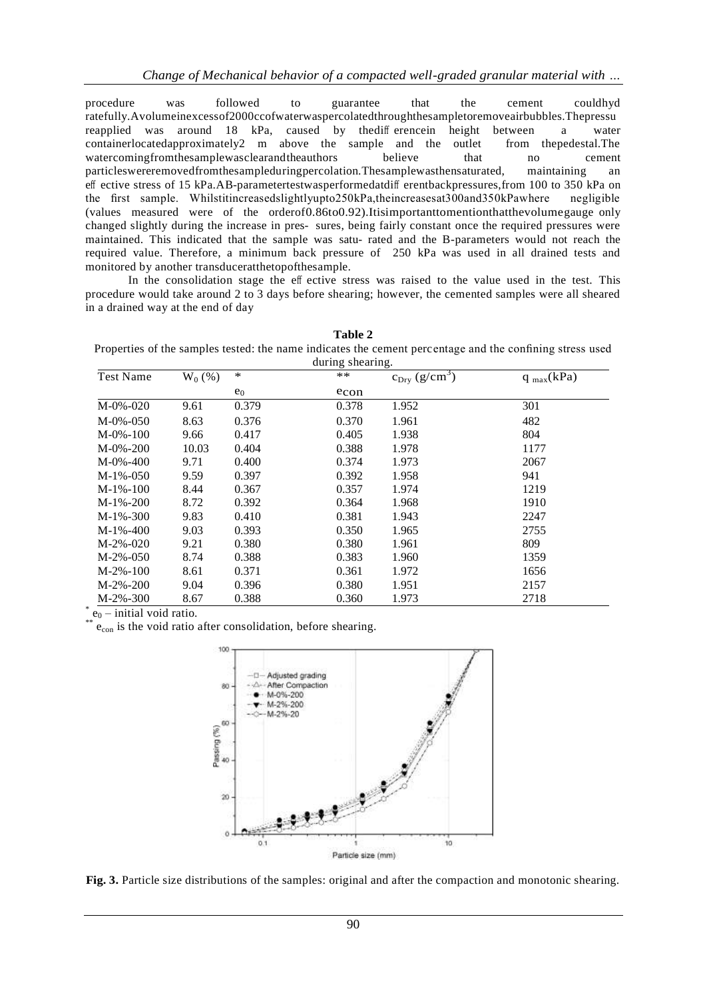procedure was followed to guarantee that the cement couldhyd ratefully.Avolumeinexcessof2000ccofwaterwaspercolatedthroughthesampletoremoveairbubbles.Thepressu reapplied was around 18 kPa, caused by thediff erencein height between a water containerlocatedapproximately2 m above the sample and the outlet from thepedestal.The watercomingfromthesamplewasclearandtheauthors believe that no cement particleswereremovedfromthesampleduringpercolation.Thesamplewasthensaturated, maintaining an eff ective stress of 15 kPa.AB-parametertestwasperformedatdiff erentbackpressures,from 100 to 350 kPa on the first sample. Whilstitincreasedslightlyupto250kPa,theincreasesat300and350kPawhere negligible (values measured were of the orderof0.86to0.92).Itisimportanttomentionthatthevolumegauge only changed slightly during the increase in pres- sures, being fairly constant once the required pressures were maintained. This indicated that the sample was satu- rated and the B-parameters would not reach the required value. Therefore, a minimum back pressure of 250 kPa was used in all drained tests and monitored by another transduceratthetopofthesample.

In the consolidation stage the eff ective stress was raised to the value used in the test. This procedure would take around 2 to 3 days before shearing; however, the cemented samples were all sheared in a drained way at the end of day

<span id="page-3-0"></span>

| Table 2                                                                                                  |
|----------------------------------------------------------------------------------------------------------|
| Properties of the samples tested: the name indicates the cement percentage and the confining stress used |
| during chaering                                                                                          |

| during shearing. |          |        |       |                           |                |  |  |
|------------------|----------|--------|-------|---------------------------|----------------|--|--|
| <b>Test Name</b> | $W_0(%)$ | $\ast$ | $**$  | $c_{\text{Dry }}(g/cm^3)$ | $q_{max}(kPa)$ |  |  |
|                  |          | $e_0$  | econ  |                           |                |  |  |
| $M-0\% -020$     | 9.61     | 0.379  | 0.378 | 1.952                     | 301            |  |  |
| $M-0\% -050$     | 8.63     | 0.376  | 0.370 | 1.961                     | 482            |  |  |
| $M-0\% - 100$    | 9.66     | 0.417  | 0.405 | 1.938                     | 804            |  |  |
| $M-0\% - 200$    | 10.03    | 0.404  | 0.388 | 1.978                     | 1177           |  |  |
| $M-0\% - 400$    | 9.71     | 0.400  | 0.374 | 1.973                     | 2067           |  |  |
| $M-1% -050$      | 9.59     | 0.397  | 0.392 | 1.958                     | 941            |  |  |
| $M-1% - 100$     | 8.44     | 0.367  | 0.357 | 1.974                     | 1219           |  |  |
| $M-1% -200$      | 8.72     | 0.392  | 0.364 | 1.968                     | 1910           |  |  |
| $M-1% - 300$     | 9.83     | 0.410  | 0.381 | 1.943                     | 2247           |  |  |
| M-1%-400         | 9.03     | 0.393  | 0.350 | 1.965                     | 2755           |  |  |
| $M-2% -020$      | 9.21     | 0.380  | 0.380 | 1.961                     | 809            |  |  |
| $M-2\% -050$     | 8.74     | 0.388  | 0.383 | 1.960                     | 1359           |  |  |
| $M-2\% - 100$    | 8.61     | 0.371  | 0.361 | 1.972                     | 1656           |  |  |
| $M-2%-200$       | 9.04     | 0.396  | 0.380 | 1.951                     | 2157           |  |  |
| $M-2%-300$       | 8.67     | 0.388  | 0.360 | 1.973                     | 2718           |  |  |

<span id="page-3-1"></span> $e_0$  – initial void ratio.

 $e_{con}$  is the void ratio after consolidation, before shearing.



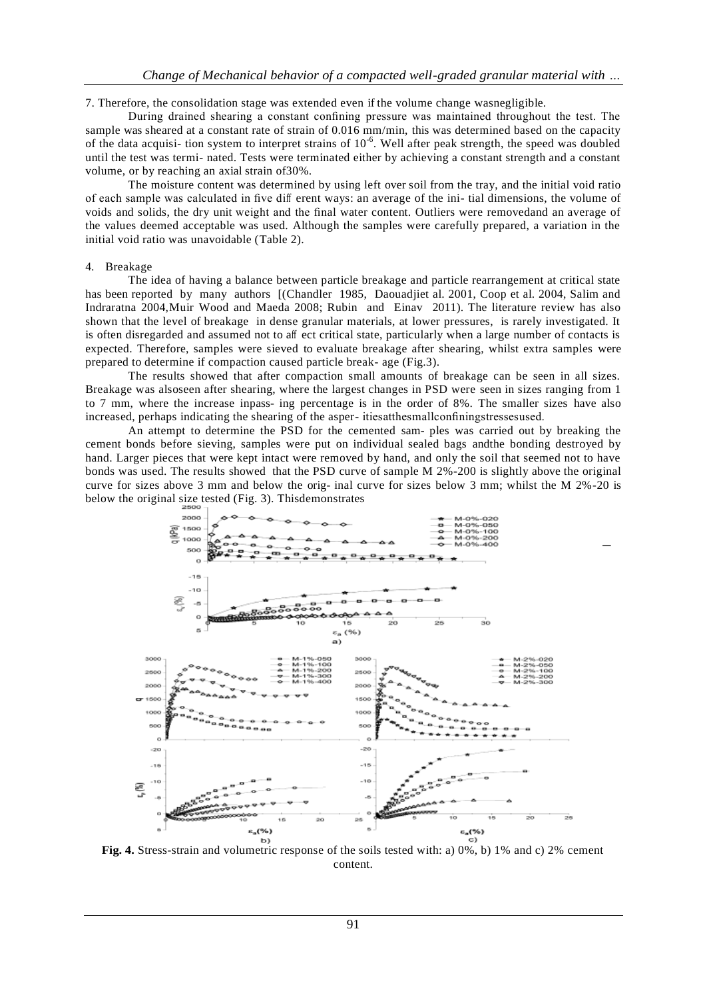7. Therefore, the consolidation stage was extended even if the volume change wasnegligible.

During drained shearing a constant confining pressure was maintained throughout the test. The sample was sheared at a constant rate of strain of 0.016 mm/min, this was determined based on the capacity of the data acquisi- tion system to interpret strains of  $10^{-6}$ . Well after peak strength, the speed was doubled until the test was termi- nated. Tests were terminated either by achieving a constant strength and a constant volume, or by reaching an axial strain of30%.

The moisture content was determined by using left over soil from the tray, and the initial void ratio of each sample was calculated in five diff erent ways: an average of the ini- tial dimensions, the volume of voids and solids, the dry unit weight and the final water content. Outliers were removedand an average of the values deemed acceptable was used. Although the samples were carefully prepared, a variation in the initial void ratio was unavoidable [\(Table 2\)](#page-3-0).

#### 4. Breakage

The idea of having a balance between particle breakage and particle rearrangement at critical state has been reported by many authors [(Chandler 1985, Daouadjiet al. 2001, Coop et al. 2004, Salim and Indraratna 2004[,Muir Wood and Maeda 2008; Rubin and Einav 2011\)](#page-11-0). The literature review has also shown that the level of breakage in dense granular materials, at lower pressures, is rarely investigated. It is often disregarded and assumed not to aff ect critical state, particularly when a large number of contacts is expected. Therefore, samples were sieved to evaluate breakage after shearing, whilst extra samples were prepared to determine if compaction caused particle break- age [\(Fig.3\)](#page-3-1).

The results showed that after compaction small amounts of breakage can be seen in all sizes. Breakage was alsoseen after shearing, where the largest changes in PSD were seen in sizes ranging from 1 to 7 mm, where the increase inpass- ing percentage is in the order of 8%. The smaller sizes have also increased, perhaps indicating the shearing of the asper- itiesatthesmallconfiningstressesused.

An attempt to determine the PSD for the cemented sam- ples was carried out by breaking the cement bonds before sieving, samples were put on individual sealed bags andthe bonding destroyed by hand. Larger pieces that were kept intact were removed by hand, and only the soil that seemed not to have bonds was used. The results showed that the PSD curve of sample M 2%-200 is slightly above the original curve for sizes above 3 mm and below the orig- inal curve for sizes below 3 mm; whilst the M 2%-20 is below the original size tested [\(Fig. 3\)](#page-3-1). Thisdemonstrates



<span id="page-4-0"></span>**Fig. 4.** Stress-strain and volumetric response of the soils tested with: a) 0%, b) 1% and c) 2% cement content.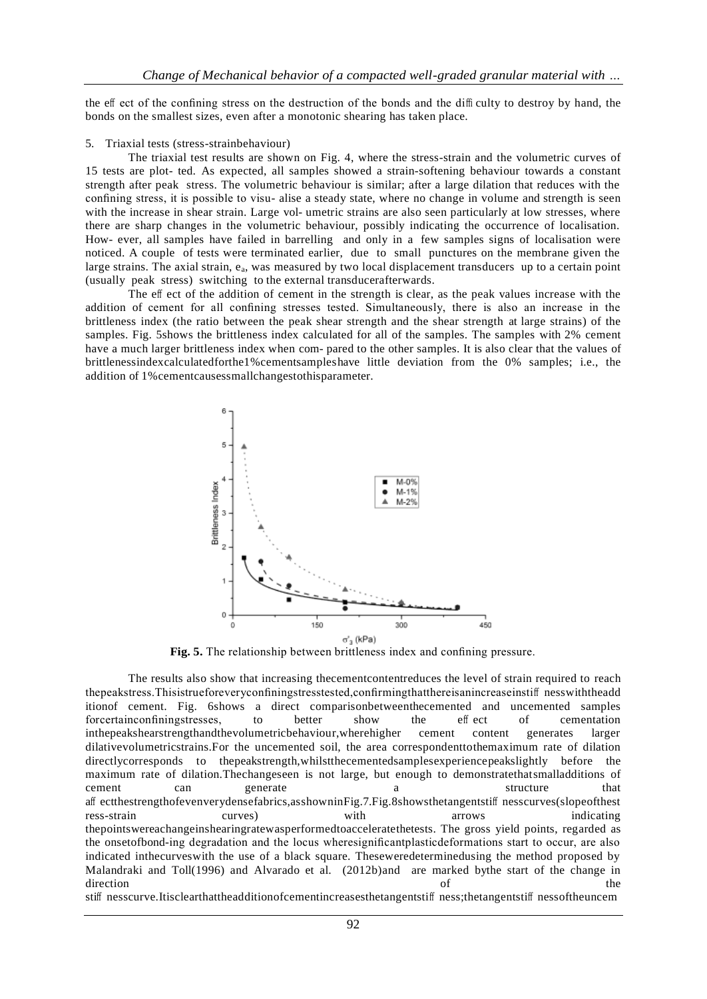the eff ect of the confining stress on the destruction of the bonds and the diffi culty to destroy by hand, the bonds on the smallest sizes, even after a monotonic shearing has taken place.

#### 5. Triaxial tests (stress-strainbehaviour)

The triaxial test results are shown on [Fig. 4,](#page-4-0) where the stress-strain and the volumetric curves of 15 tests are plot- ted. As expected, all samples showed a strain-softening behaviour towards a constant strength after peak stress. The volumetric behaviour is similar; after a large dilation that reduces with the confining stress, it is possible to visu- alise a steady state, where no change in volume and strength is seen with the increase in shear strain. Large vol- umetric strains are also seen particularly at low stresses, where there are sharp changes in the volumetric behaviour, possibly indicating the occurrence of localisation. How- ever, all samples have failed in barrelling and only in a few samples signs of localisation were noticed. A couple of tests were terminated earlier, due to small punctures on the membrane given the large strains. The axial strain,  $e_a$ , was measured by two local displacement transducers up to a certain point (usually peak stress) switching to the external transducerafterwards.

The eff ect of the addition of cement in the strength is clear, as the peak values increase with the addition of cement for all confining stresses tested. Simultaneously, there is also an increase in the brittleness index (the ratio between the peak shear strength and the shear strength at large strains) of the samples. [Fig. 5s](#page-5-0)hows the brittleness index calculated for all of the samples. The samples with 2% cement have a much larger brittleness index when com- pared to the other samples. It is also clear that the values of brittlenessindexcalculatedforthe1%cementsampleshave little deviation from the 0% samples; i.e., the addition of 1%cementcausessmallchangestothisparameter.

<span id="page-5-0"></span>

**Fig. 5.** The relationship between brittleness index and confining pressure.

The results also show that increasing thecementcontentreduces the level of strain required to reach thepeakstress.Thisistrueforeveryconfiningstresstested,confirmingthatthereisanincreaseinstiff nesswiththeadd itionof cement. [Fig. 6s](#page-6-0)hows a direct comparisonbetweenthecemented and uncemented samples forcertainconfiningstresses, to better show the eff ect of cementation inthepeakshearstrengthandthevolumetricbehaviour,wherehigher cement content generates larger dilativevolumetricstrains.For the uncemented soil, the area correspondenttothemaximum rate of dilation directlycorresponds to thepeakstrength,whilstthecementedsamplesexperiencepeakslightly before the maximum rate of dilation.Thechangeseen is not large, but enough to demonstratethatsmalladditions of cement can generate a structure that aff ectthestrengthofevenverydensefabrics,asshowni[nFig.7](#page-6-1)[.Fig.8s](#page-7-0)howsthetangentstiff nesscurves(slopeofthest ress-strain curves) with arrows indicating thepointswereachangeinshearingratewasperformedtoacceleratethetests. The gross yield points, regarded as the onsetofbond-ing degradation and the locus wheresignificantplasticdeformations start to occur, are also indicated inthecurveswith the use of a black square. Theseweredeterminedusing the method proposed by [Malandraki and Toll\(1996\) and Alvarado et al. \(2012b\)a](#page-12-0)nd are marked bythe start of the change in direction of the set of  $\mathcal{L}$ stiff nesscurve.Itisclearthattheadditionofcementincreasesthetangentstiff ness;thetangentstiff nessoftheuncem

92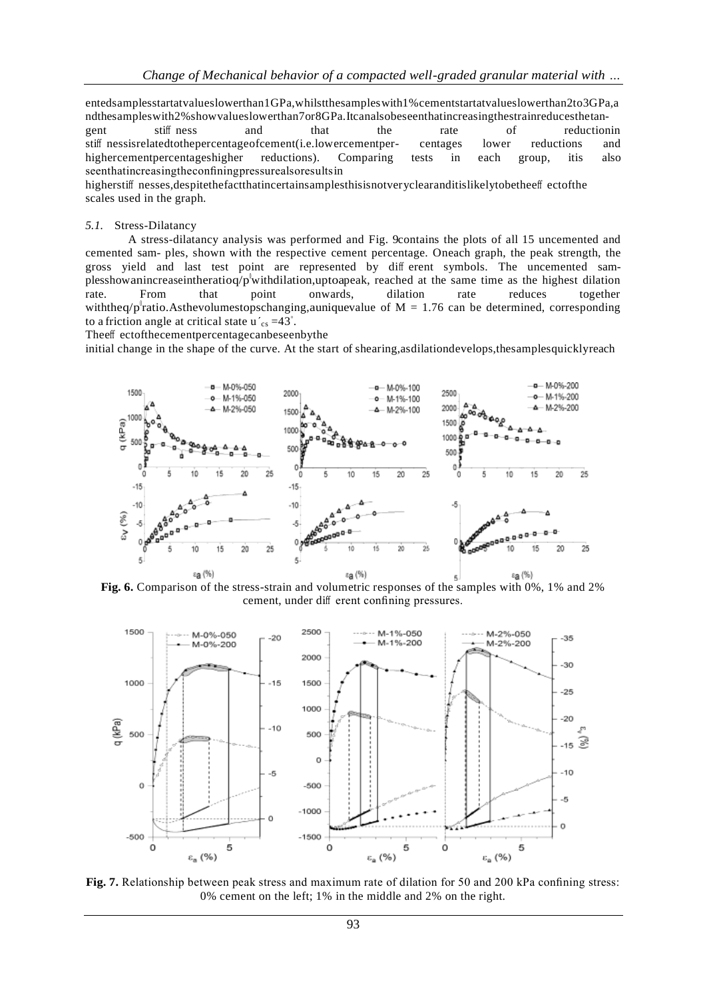entedsamplesstartatvalueslowerthan1GPa,whilstthesampleswith1%cementstartatvalueslowerthan2to3GPa,a ndthesampleswith2%showvalueslowerthan7or8GPa.Itcanalsobeseenthatincreasingthestrainreducesthetangent stiff ness and that the rate of reductionin stiff nessisrelatedtothepercentageofcement(i.e.lowercementper- centages lower reductions and highercementpercentageshigher reductions). Comparing tests in each group, itis also seenthatincreasingtheconfiningpressurealsoresultsin

higherstiff nesses,despitethefactthatincertainsamplesthisisnotveryclearanditislikelytobetheeff ectofthe scales used in the graph.

#### *5.1.* Stress-Dilatancy

A stress-dilatancy analysis was performed and [Fig. 9c](#page-7-0)ontains the plots of all 15 uncemented and cemented sam- ples, shown with the respective cement percentage. Oneach graph, the peak strength, the gross yield and last test point are represented by diff erent symbols. The uncemented samplesshowanincreaseintheratioq/p<sup>o</sup>withdilation,uptoapeak, reached at the same time as the highest dilation rate. From that point onwards, dilation rate reduces together withtheq/p<sup>h</sup>ratio.Asthevolumestopschanging,auniquevalue of M = 1.76 can be determined, corresponding to a friction angle at critical state  $u'_{cs} = 43^\circ$ .

Theeff ectofthecementpercentagecanbeseenbythe

initial change in the shape of the curve. At the start of shearing,asdilationdevelops,thesamplesquicklyreach



<span id="page-6-0"></span>**Fig. 6.** Comparison of the stress-strain and volumetric responses of the samples with 0%, 1% and 2% cement, under diff erent confining pressures.



<span id="page-6-1"></span>**Fig. 7.** Relationship between peak stress and maximum rate of dilation for 50 and 200 kPa confining stress: 0% cement on the left; 1% in the middle and 2% on the right.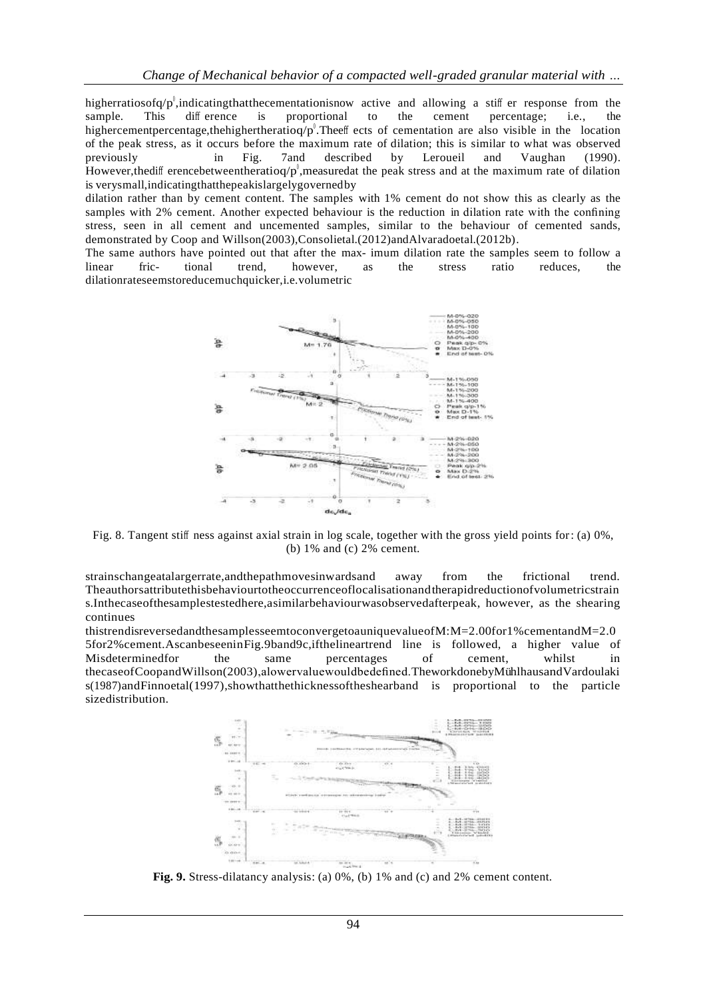higherratiosofq/p<sup>0</sup>,indicatingthatthecementationisnow active and allowing a stiff er response from the sample. This diff erence is proportional to the cement percentage; i.e., the highercementpercentage, the highertheratioq/ $p^0$ . The eff ects of cementation are also visible in the location of the peak stress, as it occurs before the maximum rate of dilation; this is similar to what was observed previously in [Fig. 7a](#page-6-1)nd described by [Leroueil and Vaughan \(1990\).](#page-12-0) However, the difference between the ratioq/p, measured at the peak stress and at the maximum rate of dilation is verysmall,indicatingthatthepeakislargelygovernedby

dilation rather than by cement content. The samples with 1% cement do not show this as clearly as the samples with 2% cement. Another expected behaviour is the reduction in dilation rate with the confining stress, seen in all cement and uncemented samples, similar to the behaviour of cemented sands, demonstrated by [Coop and Willson\(2003\),Consolietal.\(2012\)andAlvaradoetal.\(2012b\).](#page-11-0)

The same authors have pointed out that after the max- imum dilation rate the samples seem to follow a linear fric-<br>ional trend, however, as the stress ratio reduces, the linear fric- tional trend, however, as the stress ratio reduces, the dilationrateseemstoreducemuchquicker,i.e.volumetric



<span id="page-7-0"></span>Fig. 8. Tangent stiff ness against axial strain in log scale, together with the gross yield points for: (a) 0%, (b) 1% and (c) 2% cement.

strainschangeatalargerrate,andthepathmovesinwardsand away from the frictional trend. Theauthorsattributethisbehaviourtotheoccurrenceoflocalisationandtherapidreductionofvolumetricstrain s.Inthecaseofthesamplestestedhere,asimilarbehaviourwasobservedafterpeak, however, as the shearing continues

thistrendisreversedandthesamplesseemtoconvergetoauniquevalueofM:M=2.00for1%cementandM=2.0 5for2%cement.Ascanbeseeni[nFig.9b](#page-7-0)and9c,ifthelineartrend line is followed, a higher value of Misdeterminedfor the same percentages of cement, whilst in thecaseo[fCoopandWillson\(2003\),](#page-11-0)alowervaluewouldbedefined.TheworkdonebyMühlhausandVardoulaki [s\(1987\)andFinnoetal\(1997\),s](#page-12-0)howthatthethicknessoftheshearband is proportional to the particle sizedistribution.



**Fig. 9.** Stress-dilatancy analysis: (a) 0%, (b) 1% and (c) and 2% cement content.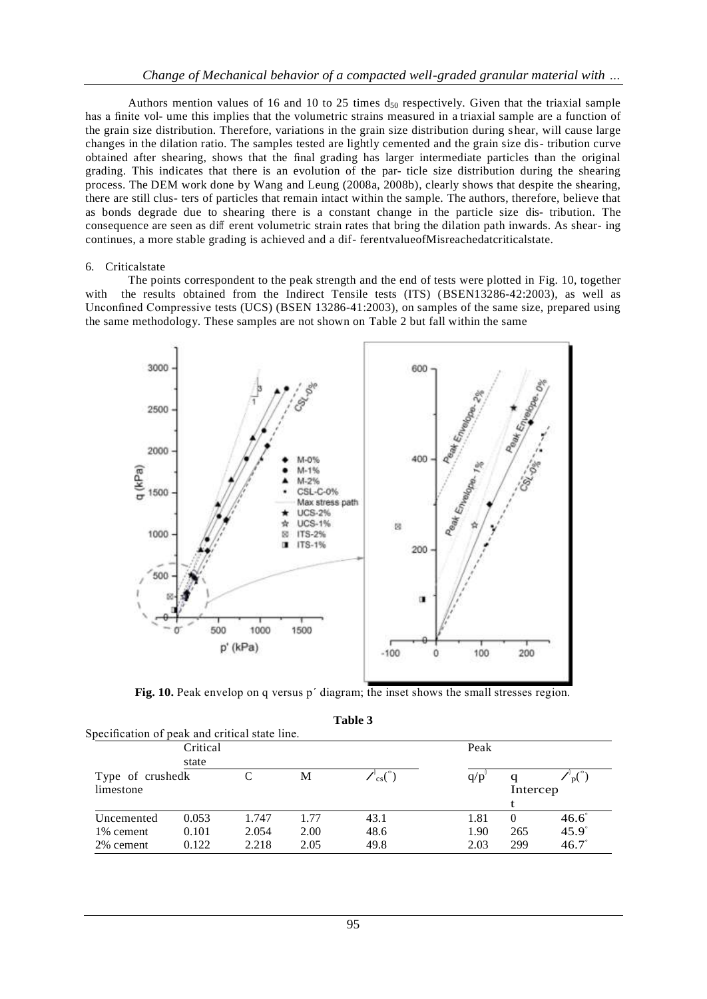Authors mention values of 16 and 10 to 25 times  $d_{50}$  respectively. Given that the triaxial sample has a finite vol- ume this implies that the volumetric strains measured in a triaxial sample are a function of the grain size distribution. Therefore, variations in the grain size distribution during s hear, will cause large changes in the dilation ratio. The samples tested are lightly cemented and the grain size dis- tribution curve obtained after shearing, shows that the final grading has larger intermediate particles than the original grading. This indicates that there is an evolution of the par- ticle size distribution during the shearing process. The DEM work done by [Wang and Leung \(2008a, 2008b\),](#page-12-0) clearly shows that despite the shearing, there are still clus- ters of particles that remain intact within the sample. The authors, therefore, believe that as bonds degrade due to shearing there is a constant change in the particle size dis- tribution. The consequence are seen as diff erent volumetric strain rates that bring the dilation path inwards. As shear- ing continues, a more stable grading is achieved and a dif- ferentvalueofMisreachedatcriticalstate.

#### 6. Criticalstate

The points correspondent to the peak strength and the end of tests were plotted in [Fig. 10,](#page-8-0) together with the results obtained from the Indirect Tensile tests (ITS) [\(BSEN13286-42:2003\)](#page-11-0), as well as Unconfined Compressive tests (UCS) [\(BSEN 13286-41:2003\)](#page-11-0), on samples of the same size, prepared using the same methodology. These samples are not shown on [Table 2 b](#page-3-0)ut fall within the same



**Fig. 10.** Peak envelop on q versus p΄ diagram; the inset shows the small stresses region.

| able |  |
|------|--|
|------|--|

<span id="page-8-0"></span>

| Specification of peak and critical state line. |       |       |      |         |      |               |                |
|------------------------------------------------|-------|-------|------|---------|------|---------------|----------------|
| Critical                                       |       |       |      |         | Peak |               |                |
|                                                | state |       |      |         |      |               |                |
| Type of crushedk<br>limestone                  |       |       | M    | $\cos($ | q/p  | q<br>Intercep | $D^{(n)}$      |
| Uncemented                                     | 0.053 | 1.747 | 1.77 | 43.1    | 1.81 | $\theta$      | $46.6^{\circ}$ |
| 1\% cement                                     | 0.101 | 2.054 | 2.00 | 48.6    | 1.90 | 265           | $45.9^\circ$   |
| 2% cement                                      | 0.122 | 2.218 | 2.05 | 49.8    | 2.03 | 299           | $46.7^{\circ}$ |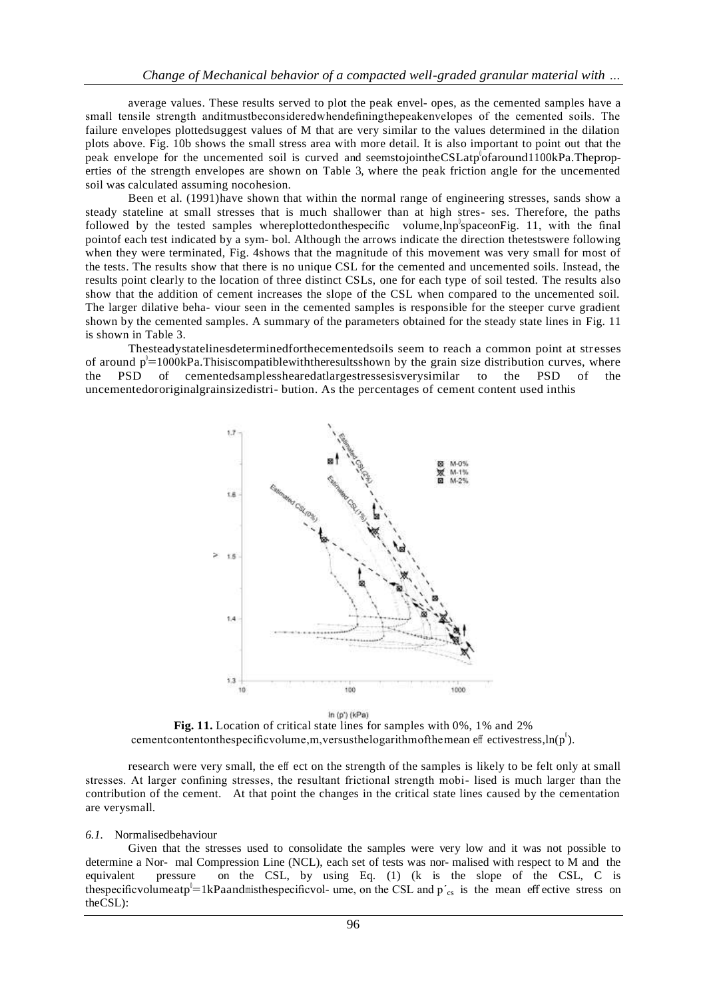average values. These results served to plot the peak envel- opes, as the cemented samples have a small tensile strength anditmustbeconsideredwhendefiningthepeakenvelopes of the cemented soils. The failure envelopes plottedsuggest values of M that are very similar to the values determined in the dilation plots above. [Fig. 10b](#page-8-0) shows the small stress area with more detail. It is also important to point out that the peak envelope for the uncemented soil is curved and seemstojointheCSLatp of around 1100kPa. The properties of the strength envelopes are shown on [Table 3,](#page-8-0) where the peak friction angle for the uncemented soil was calculated assuming nocohesion.

[Been et al. \(1991\)h](#page-11-0)ave shown that within the normal range of engineering stresses, sands show a steady stateline at small stresses that is much shallower than at high stres- ses. Therefore, the paths followed by the tested samples whereplottedonthespecific volume, lnp space on Fig. 11, with the final pointof each test indicated by a sym- bol. Although the arrows indicate the direction thetestswere following when they were terminated, [Fig. 4s](#page-4-0)hows that the magnitude of this movement was very small for most of the tests. The results show that there is no unique CSL for the cemented and uncemented soils. Instead, the results point clearly to the location of three distinct CSLs, one for each type of soil tested. The results also show that the addition of cement increases the slope of the CSL when compared to the uncemented soil. The larger dilative beha- viour seen in the cemented samples is responsible for the steeper curve gradient shown by the cemented samples. A summary of the parameters obtained for the steady state lines in [Fig. 11](#page-9-0)  is shown in [Table 3.](#page-8-0)

Thesteadystatelinesdeterminedforthecementedsoils seem to reach a common point at stresses of around  $p^{\dagger}=1000kPa$ . Thisiscompatiblewiththeresultsshown by the grain size distribution curves, where the PSD of cementedsamplesshearedatlargestressesisverysimilar to the PSD of the uncementedororiginalgrainsizedistri- bution. As the percentages of cement content used inthis



In  $(p')$  (kPa)

**Fig. 11.** Location of critical state lines for samples with 0%, 1% and 2% cementcontentonthespecific volume, m, versus the logarithm of the mean eff ectives tress,  $\ln(p^{\theta})$ .

<span id="page-9-1"></span><span id="page-9-0"></span>research were very small, the eff ect on the strength of the samples is likely to be felt only at small stresses. At larger confining stresses, the resultant frictional strength mobi- lised is much larger than the contribution of the cement. At that point the changes in the critical state lines caused by the cementation are verysmall.

#### *6.1.* Normalisedbehaviour

Given that the stresses used to consolidate the samples were very low and it was not possible to determine a Nor- mal Compression Line (NCL), each set of tests was nor- malised with respect to M and the equivalent pressure on the CSL, by using Eq. [\(1\) \(](#page-9-0)k is the slope of the CSL, C is thespecificvolumeatp<sup>1</sup>=1kPaandmisthespecificvol- ume, on the CSL and p'<sub>cs</sub> is the mean effective stress on theCSL):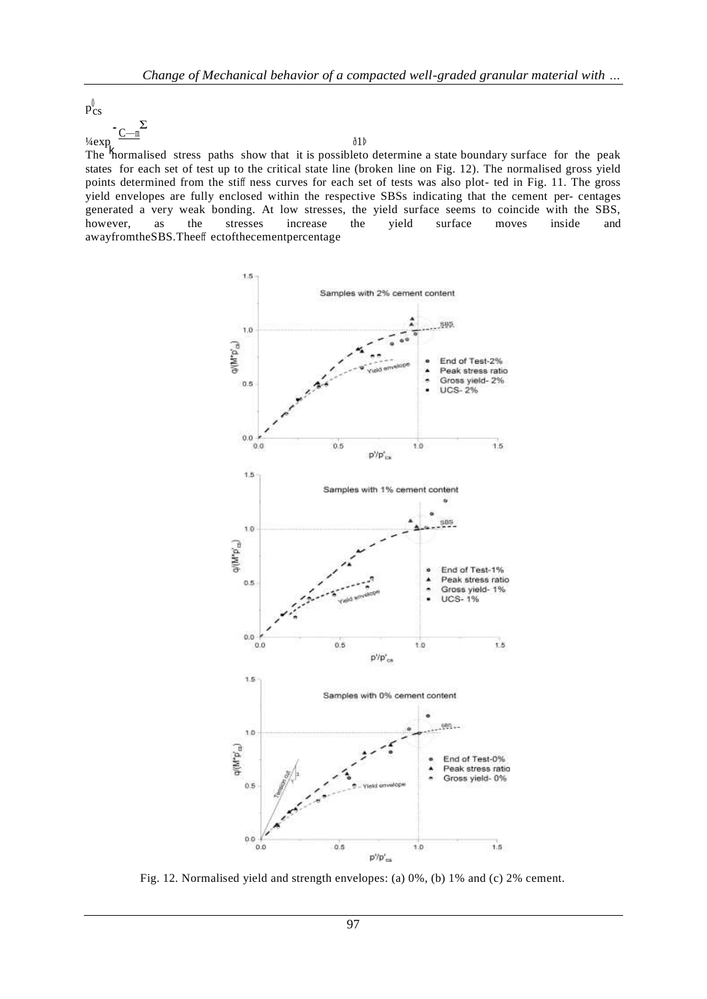$p_{CS}^0$ 

 $\frac{1}{4}$ exp .  $C_{\text{max}}$ 

Σ

## ð1Þ

The hormalised stress paths show that it is possible to determine a state boundary surface for the peak states for each set of test up to the critical state line (broken line on [Fig. 12\)](#page-9-1). The normalised gross yield points determined from the stiff ness curves for each set of tests was also plot- ted in [Fig. 11.](#page-9-0) The gross yield envelopes are fully enclosed within the respective SBSs indicating that the cement per- centages generated a very weak bonding. At low stresses, the yield surface seems to coincide with the SBS, however, as the stresses increase the yield surface moves inside and awayfromtheSBS.Theeff ectofthecementpercentage



Fig. 12. Normalised yield and strength envelopes: (a) 0%, (b) 1% and (c) 2% cement.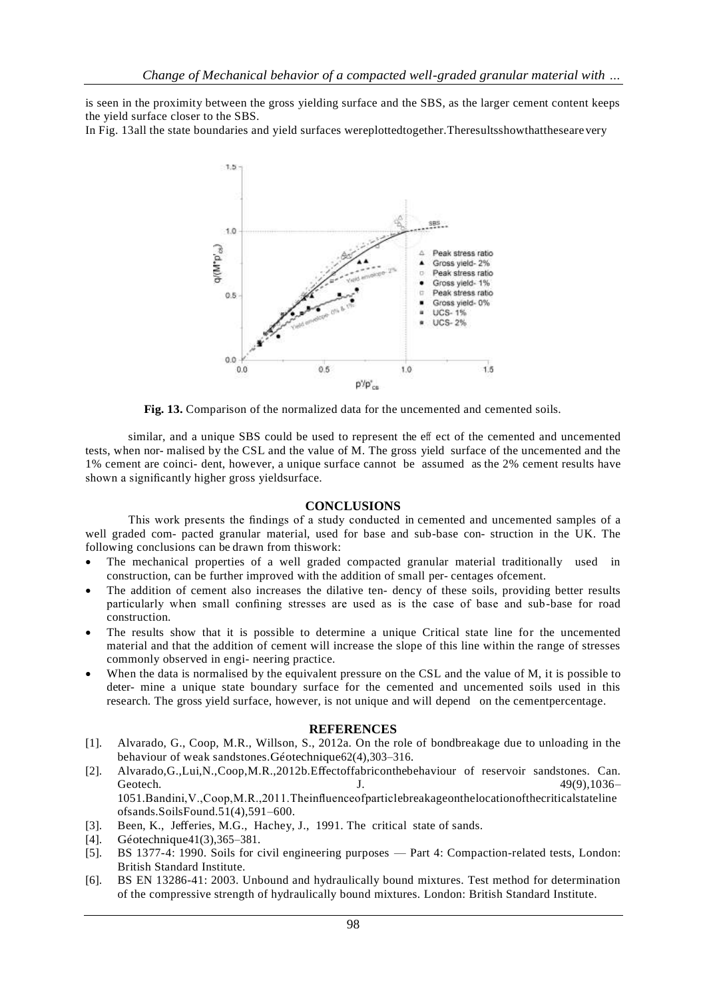is seen in the proximity between the gross yielding surface and the SBS, as the larger cement content keeps the yield surface closer to the SBS.

In [Fig. 13a](#page-11-0)ll the state boundaries and yield surfaces wereplottedtogether. The results show that the seare very



**Fig. 13.** Comparison of the normalized data for the uncemented and cemented soils.

<span id="page-11-0"></span>similar, and a unique SBS could be used to represent the eff ect of the cemented and uncemented tests, when nor- malised by the CSL and the value of M. The gross yield surface of the uncemented and the 1% cement are coinci- dent, however, a unique surface cannot be assumed as the 2% cement results have shown a significantly higher gross yieldsurface.

## <span id="page-11-2"></span>**CONCLUSIONS**

<span id="page-11-1"></span>This work presents the findings of a study conducted in cemented and uncemented samples of a well graded com- pacted granular material, used for base and sub-base con- struction in the UK. The following conclusions can be drawn from thiswork:

- The mechanical properties of a well graded compacted granular material traditionally used in construction, can be further improved with the addition of small per- centages ofcement.
- The addition of cement also increases the dilative ten- dency of these soils, providing better results particularly when small confining stresses are used as is the case of base and sub-base for road construction.
- The results show that it is possible to determine a unique Critical state line for the uncemented material and that the addition of cement will increase the slope of this line within the range of stresses commonly observed in engi- neering practice.
- When the data is normalised by the equivalent pressure on the CSL and the value of M, it is possible to deter- mine a unique state boundary surface for the cemented and uncemented soils used in this research. The gross yield surface, however, is not unique and will depend on the cementpercentage.

## **REFERENCES**

- [1]. [Alvarado, G., Coop, M.R., Willson, S., 2012a. On the role of bondbreakage due to unloading in the](http://refhub.elsevier.com/S0038-0806(19)30054-X/h0005)  behaviour of weak sandstones.Géotechnique62(4),303-316.
- [2]. [Alvarado,G.,Lui,N.,Coop,M.R.,2012b.E](http://refhub.elsevier.com/S0038-0806(19)30054-X/h0010)ffectoffabriconth[ebehaviour of reservoir sandstones. Can.](http://refhub.elsevier.com/S0038-0806(19)30054-X/h0010)  Geotech. J. 49(9),1036– 1051[.Bandini,V.,Coop,M.R.,2011.Theinfluenceofparticlebreakageonthelocationofthecriticalstateline](http://refhub.elsevier.com/S0038-0806(19)30054-X/h0015) ofsands.SoilsFound.51(4),591–600.
- [3]. Been, K., Jeff[eries, M.G., Hachey, J., 1991. The critical state of sands.](http://refhub.elsevier.com/S0038-0806(19)30054-X/h0020)
- [4]. Géotechnique41(3), 365–381.
- [5]. BS 1377-4: 1990. Soils for civil engineering purposes Part 4: Compaction-related tests, London: British Standard Institute.
- [6]. BS EN 13286-41: 2003. Unbound and hydraulically bound mixtures. Test method for determination of the compressive strength of hydraulically bound mixtures. London: British Standard Institute.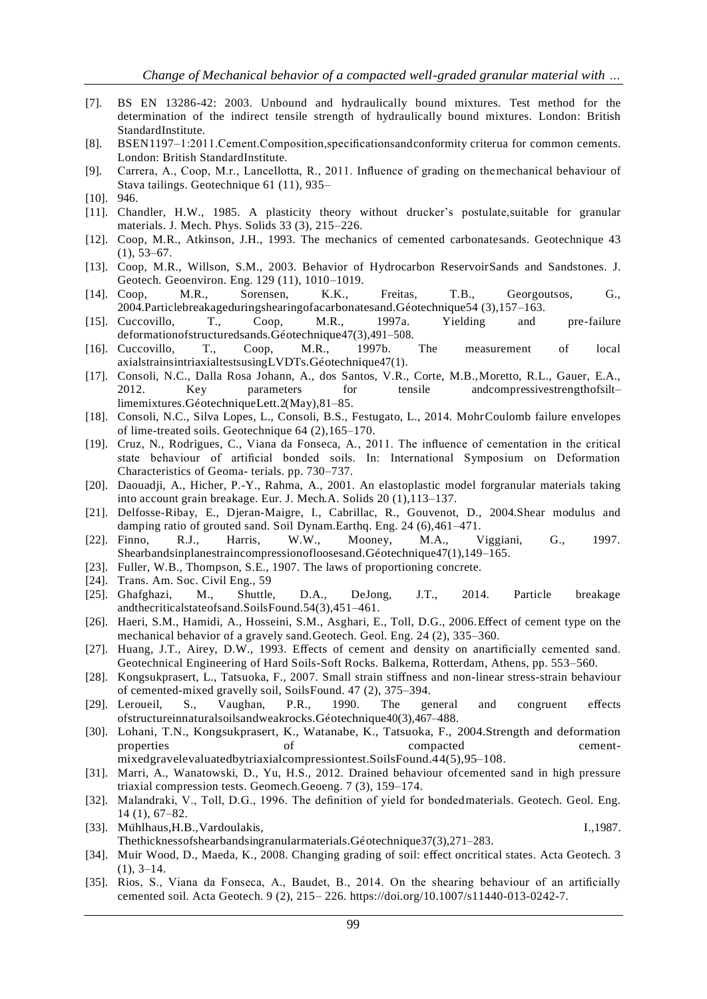- [7]. BS EN 13286-42: 2003. Unbound and hydraulically bound mixtures. Test method for the determination of the indirect tensile strength of hydraulically bound mixtures. London: British StandardInstitute.
- [8]. BSEN1197–1:2011.Cement.Composition,specificationsandconformity criterua for common cements. London: British StandardInstitute.
- [9]. [Carrera, A., Coop, M.r., Lancellotta, R., 2011. Influence of grading on themechanical behaviour of](http://refhub.elsevier.com/S0038-0806(19)30054-X/h0040)  Stava tailings. Geotechnique 61 (11), 935–
- [10]. [946.](http://refhub.elsevier.com/S0038-0806(19)30054-X/h0040)
- [11]. [Chandler, H.W., 1985. A plasticity theory without drucker's postulate,suitable for granular](http://refhub.elsevier.com/S0038-0806(19)30054-X/h0045)  materials. J. Mech. Phys. Solids 33 (3), 215–226.
- [12]. [Coop, M.R., Atkinson, J.H., 1993. The mechanics of cemented carbonatesands. Geotechnique 43](http://refhub.elsevier.com/S0038-0806(19)30054-X/h0055)  (1), 53–67.
- [13]. [Coop, M.R., Willson, S.M., 2003. Behavior of Hydrocarbon ReservoirSands and Sandstones. J.](http://refhub.elsevier.com/S0038-0806(19)30054-X/h0060)  Geotech. Geoenviron. Eng. 129 (11), 1010[–1019.](http://refhub.elsevier.com/S0038-0806(19)30054-X/h0060)
- [14]. [Coop, M.R., Sorensen, K.K., Freitas, T.B., Georgoutsos, G.,](http://refhub.elsevier.com/S0038-0806(19)30054-X/h0065)  2004.Particlebreakageduringshearingofacarbonatesand.Géotechnique54 (3),157-163.
- [15]. [Cuccovillo, T., Coop, M.R., 1997a. Yielding and pre-failure](http://refhub.elsevier.com/S0038-0806(19)30054-X/h0070)  [deformationofstructuredsands.Ge´otechnique47\(3\),491–508.](http://refhub.elsevier.com/S0038-0806(19)30054-X/h0070)
- [16]. [Cuccovillo, T., Coop, M.R., 1997b. The measurement of local](http://refhub.elsevier.com/S0038-0806(19)30054-X/h0075)  axialstrainsintriaxialtestsusingLVDTs.Géotechnique47(1).
- [17]. [Consoli, N.C., Dalla Rosa Johann, A., dos Santos, V.R., Corte, M.B.,Moretto, R.L., Gauer, E.A.,](http://refhub.elsevier.com/S0038-0806(19)30054-X/h0080)  2012. Key parameters for tensile andcompressivestrengthofsiltlimemixtures.GéotechniqueLett.2(May),81-85.
- [18]. [Consoli, N.C., Silva Lopes, L., Consoli, B.S., Festugato, L., 2014. MohrCoulomb failure envelopes](http://refhub.elsevier.com/S0038-0806(19)30054-X/h0085)  of lime-treated soils. Geotechnique 64 (2)[,165–170.](http://refhub.elsevier.com/S0038-0806(19)30054-X/h0085)
- [19]. Cruz, N., Rodrigues, C., Viana da Fonseca, A., 2011. The influence of cementation in the critical state behaviour of artificial bonded soils. In: International Symposium on Deformation Characteristics of Geoma- terials. pp. 730–737.
- [20]. [Daouadji, A., Hicher, P.-Y., Rahma, A., 2001. An elastoplastic model forgranular materials taking](http://refhub.elsevier.com/S0038-0806(19)30054-X/h0095)  into account grain breakage. Eur. J. Mech[.A. Solids 20 \(1\),113–137.](http://refhub.elsevier.com/S0038-0806(19)30054-X/h0095)
- [21]. [Delfosse-Ribay, E., Djeran-Maigre, I., Cabrillac, R., Gouvenot, D., 2004.Shear modulus and](http://refhub.elsevier.com/S0038-0806(19)30054-X/h0100)  damping ratio of grouted sand. Soil Dynam[.Earthq. Eng. 24 \(6\),461–471.](http://refhub.elsevier.com/S0038-0806(19)30054-X/h0100)
- [22]. [Finno, R.J., Harris, W.W., Mooney, M.A., Viggiani, G., 1997.](http://refhub.elsevier.com/S0038-0806(19)30054-X/h0105)  Shearbandsinplanestraincompressionofloosesand.Ge<br/>otechnique47(1),149–165.
- [23]. [Fuller, W.B., Thompson, S.E., 1907. The laws of proportioning concrete.](http://refhub.elsevier.com/S0038-0806(19)30054-X/h0110)
- [24]. [Trans. Am. Soc. Civil Eng., 59](http://refhub.elsevier.com/S0038-0806(19)30054-X/h0110)
- [25]. [Ghafghazi, M., Shuttle, D.A., DeJong, J.T., 2014. Particle breakage](http://refhub.elsevier.com/S0038-0806(19)30054-X/h0115)  [andthecriticalstateofsand.SoilsFound.54\(3\),451–461.](http://refhub.elsevier.com/S0038-0806(19)30054-X/h0115)
- [26]. [Haeri, S.M., Hamidi, A., Hosseini, S.M., Asghari, E., Toll, D.G., 2006.E](http://refhub.elsevier.com/S0038-0806(19)30054-X/h0120)ff[ect of cement type on the](http://refhub.elsevier.com/S0038-0806(19)30054-X/h0120)  mechanical behavior of a gravely sand[.Geotech. Geol. Eng. 24 \(2\), 335–360.](http://refhub.elsevier.com/S0038-0806(19)30054-X/h0120)
- <span id="page-12-1"></span><span id="page-12-0"></span>[27]. [Huang, J.T., Airey, D.W., 1993. E](http://refhub.elsevier.com/S0038-0806(19)30054-X/h0125)ffects of cement and density on a[nartificially cemented sand.](http://refhub.elsevier.com/S0038-0806(19)30054-X/h0125)  Geotechnical Engineering of Hard Soils[-Soft Rocks. Balkema, Rotterdam, Athens, pp. 553–560.](http://refhub.elsevier.com/S0038-0806(19)30054-X/h0125)
- [28]. [Kongsukprasert, L., Tatsuoka, F., 2007. Small strain sti](http://refhub.elsevier.com/S0038-0806(19)30054-X/h9000)ffness and non[-linear stress-strain behaviour](http://refhub.elsevier.com/S0038-0806(19)30054-X/h9000)  of cemented-mixed gravelly soil, Soil[sFound. 47 \(2\), 375–394.](http://refhub.elsevier.com/S0038-0806(19)30054-X/h9000)
- [29]. [Leroueil, S., Vaughan, P.R., 1990. The general and congruent e](http://refhub.elsevier.com/S0038-0806(19)30054-X/h0130)ffects [ofstructureinnaturalsoilsandweakrocks.Ge´otechnique40\(3\),467–488.](http://refhub.elsevier.com/S0038-0806(19)30054-X/h0130)
- [30]. [Lohani, T.N., Kongsukprasert, K., Watanabe, K., Tatsuoka, F., 2004.Strength and deformation](http://refhub.elsevier.com/S0038-0806(19)30054-X/h0135)  properties of compacted cementmixe[dgravelevaluatedbytriaxialcompressiontest.SoilsFound.44\(5\),95–108.](http://refhub.elsevier.com/S0038-0806(19)30054-X/h0135)
- [31]. [Marri, A., Wanatowski, D., Yu, H.S., 2012. Drained behaviour ofcemented sand in high pressure](http://refhub.elsevier.com/S0038-0806(19)30054-X/h0140)  triaxial compression tests. Geomech[.Geoeng. 7 \(3\), 159–174.](http://refhub.elsevier.com/S0038-0806(19)30054-X/h0140)
- [32]. [Malandraki, V., Toll, D.G., 1996. The definition of yield for bondedmaterials. Geotech. Geol. Eng.](http://refhub.elsevier.com/S0038-0806(19)30054-X/h0145)  14 (1), 67–82.
- [33]. Mühlhaus, H.B., Vardoulakis, I., 1987. Thethicknessofshearbandsingranularmaterials.Géotechnique37(3),271-283.
- [34]. [Muir Wood, D., Maeda, K., 2008. Changing grading of soil: e](http://refhub.elsevier.com/S0038-0806(19)30054-X/h0155)ffect o[ncritical states. Acta Geotech. 3](http://refhub.elsevier.com/S0038-0806(19)30054-X/h0155)   $(1), 3-14.$
- [35]. Rios, S., Viana da Fonseca, A., Baudet, B., 2014. On the shearing behaviour of an artificially cemented soil. Acta Geotech. 9 (2), 215– 226. [https://doi.org/10.1007/s11440-013-0242-7.](https://doi.org/10.1007/s11440-013-0242-7)